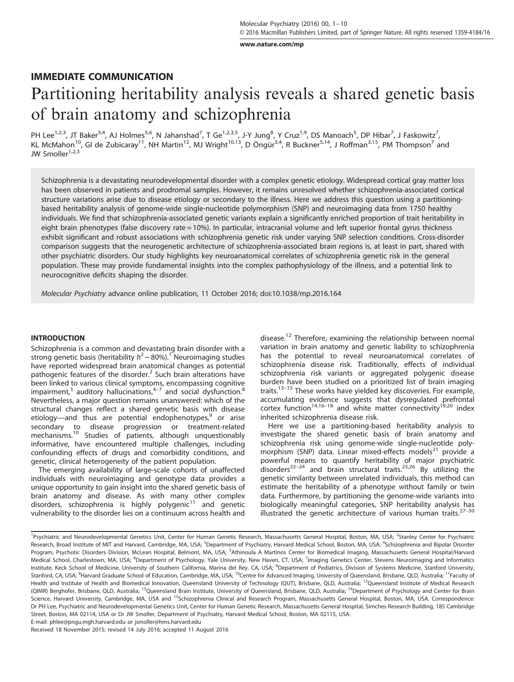[www.nature.com/mp](http://www.nature.com/mp)

# IMMEDIATE COMMUNICATION Partitioning heritability analysis reveals a shared genetic basis of brain anatomy and schizophrenia

PH Lee<sup>1,2,3</sup>, JT Baker<sup>3,4</sup>, AJ Holmes<sup>5,6</sup>, N Jahanshad<sup>7</sup>, T Ge<sup>1,2,3,5</sup>, J-Y Jung<sup>8</sup>, Y Cruz<sup>1,9</sup>, DS Manoach<sup>5</sup>, DP Hibar<sup>7</sup>, J Faskowitz<sup>7</sup>, KL McMahon<sup>10</sup>, GI de Zubicaray<sup>11</sup>, NH Martin<sup>12</sup>, MJ Wright<sup>10,13</sup>, D Öngür<sup>3,4</sup>, R Buckner<sup>5,14</sup>, J Roffman<sup>3,15</sup>, PM Thompson<sup>7</sup> and  $JW$  Smoller<sup>1,2,3</sup>

Schizophrenia is a devastating neurodevelopmental disorder with a complex genetic etiology. Widespread cortical gray matter loss has been observed in patients and prodromal samples. However, it remains unresolved whether schizophrenia-associated cortical structure variations arise due to disease etiology or secondary to the illness. Here we address this question using a partitioningbased heritability analysis of genome-wide single-nucleotide polymorphism (SNP) and neuroimaging data from 1750 healthy individuals. We find that schizophrenia-associated genetic variants explain a significantly enriched proportion of trait heritability in eight brain phenotypes (false discovery rate = 10%). In particular, intracranial volume and left superior frontal gyrus thickness exhibit significant and robust associations with schizophrenia genetic risk under varying SNP selection conditions. Cross-disorder comparison suggests that the neurogenetic architecture of schizophrenia-associated brain regions is, at least in part, shared with other psychiatric disorders. Our study highlights key neuroanatomical correlates of schizophrenia genetic risk in the general population. These may provide fundamental insights into the complex pathophysiology of the illness, and a potential link to neurocognitive deficits shaping the disorder.

Molecular Psychiatry advance online publication, 11 October 2016; doi[:10.1038/mp.2016.164](http://dx.doi.org/10.1038/mp.2016.164)

#### **INTRODUCTION**

Schizophrenia is a common and devastating brain disorder with a strong genetic basis (heritability  $h^2 \sim 80\%$ ).<sup>1</sup> Neuroimaging studies have reported widespread brain anatomical changes as potential pathogenic features of the disorder.<sup>[2](#page-7-0)</sup> Such brain alterations have been linked to various clinical sympt[oms](#page-7-0), encompassing cognitive impairment, $3$  auditory hallucinations, $4-7$  and social dysfunction. $8$ Nevertheless, a major question remains unanswered: which of the structural changes reflect a shared genetic basis with disease etiology—and thus are potential endophenotypes,<sup>[9](#page-7-0)</sup> or arise secondary to disease progression or treatment-related mechanisms.[10](#page-8-0) Studies of patients, although unquestionably informative, have encountered multiple challenges, including confounding effects of drugs and comorbidity conditions, and genetic, clinical heterogeneity of the patient population.

The emerging availability of large-scale cohorts of unaffected individuals with neuroimaging and genotype data provides a unique opportunity to gain insight into the shared genetic basis of brain anatomy and disease. As with many other complex<br>disorders, schizophrenia is highly polygenic<sup>[11](#page-8-0)</sup> and genetic vulnerability to the disorder lies on a continuum across health and disease.<sup>12</sup> Therefore, examining the relationship between normal variation in brain anatomy and genetic liability to schizophrenia has the potential to reveal neuroanatomical correlates of schizophrenia disease risk. Traditionally, effects of individual schizophrenia risk variants or aggregated polygenic disease burden have been studied on a prioritized list of brain imaging traits.[13](#page-8-0)–<sup>15</sup> These works have yielded key discoveries. For example, accumulating evidence suggests that dysregulated prefrontal<br>cortex function<sup>[14,16](#page-8-0)–18</sup> and white matter connectivity<sup>[19,20](#page-8-0)</sup> index inherited schizophrenia disease risk.

Here we use a partitioning-based heritability analysis to investigate the shared genetic basis of brain anatomy and schizophrenia risk using genome-wide single-nucleotide poly-morphism (SNP) data. Linear mixed-effects models<sup>[21](#page-8-0)</sup> provide a powerful means to quantify heritability of major psychiatric<br>disorders<sup>[22](#page-8-0)–24</sup> and brain structural traits.<sup>[25,26](#page-8-0)</sup> By utilizing the genetic similarity between unrelated individuals, this method can estimate the heritability of a phenotype without family or twin data. Furthermore, by partitioning the genome-wide variants into biologically meaningful categories, SNP heritability analysis has illustrated the genetic architecture of various human traits. $27-30$  $27-30$ 

E-mail: [phlee@pngu.mgh.harvard.edu](mailto:phlee@pngu.mgh.harvard.edu) or [jsmoller@hms.harvard.edu](mailto:jsmoller@hms.harvard.edu)

Received 18 November 2015; revised 14 July 2016; accepted 11 August 2016

<sup>&</sup>lt;sup>1</sup>Psychiatric and Neurodevelopmental Genetics Unit, Center for Human Genetic Research, Massachusetts General Hospital, Boston, MA, USA; <sup>2</sup>Stanley Center for Psychiatric Research, Broad Institute of MIT and Harvard, Cambridge, MA, USA; <sup>3</sup>Department of Psychiatry, Harvard Medical School, Boston, MA, USA; <sup>4</sup>Schizophrenia and Bipolar Disorder Program, Psychotic Disorders Division, McLean Hospital, Belmont, MA, USA; <sup>5</sup>Athinoula A Martinos Center for Biomedical Imaging, Massachusetts General Hospital/Harvard Medical School, Charlestown, MA, USA; <sup>6</sup>Department of Psychology, Yale University, New Haven, CT, USA; <sup>7</sup>Imaging Genetics Center, Stevens Neuroimaging and Informatics Institute, Keck School of Medicine, University of Southern California, Marina del Rey, CA, USA; <sup>8</sup>Department of Pediatrics, Division of Systems Medicine, Stanford University, Stanford, CA, USA; <sup>9</sup>Harvard Graduate School of Education, Cambridge, MA, USA; <sup>10</sup>Centre for Advanced Imaging, University of Queensland, Brisbane, QLD, Australia; <sup>11</sup>Faculty of Health and Institute of Health and Biomedical Innovation, Queensland University of Technology (QUT), Brisbane, QLD, Australia; <sup>12</sup>Queensland Institute of Medical Research (QIMR) Berghofer, Brisbane, QLD, Australia; <sup>13</sup>Queensland Brain Institute, University of Queensland, Brisbane, QLD, Australia; <sup>14</sup>Department of Psychology and Center for Brain Science, Harvard University, Cambridge, MA, USA and <sup>15</sup>Schizophrenia Clinical and Research Program, Massachusetts General Hospital, Boston, MA, USA. Correspondence: Dr PH Lee, Psychiatric and Neurodevelopmental Genetics Unit, Center for Human Genetic Research, Massachusetts General Hospital, Simches Research Building, 185 Cambridge Street, Boston, MA 02114, USA or Dr JW Smoller, Department of Psychiatry, Harvard Medical School, Boston, MA 02115, USA.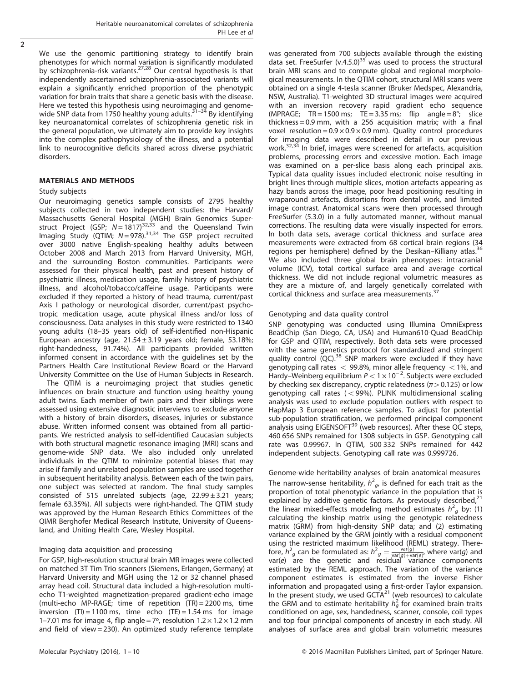$\overline{2}$ 

We use the genomic partitioning strategy to identify brain phenotypes for which normal variation is significantly modulated by schizophrenia-risk variants.<sup>[27,28](#page-8-0)</sup> Our central hypothesis is that independently ascertained schizophrenia-associated variants will explain a significantly enriched proportion of the phenotypic variation for brain traits that share a genetic basis with the disease. Here we tested this hypothesis using neuroim[aging](#page-8-0) and genome-<br>wide SNP data from 1750 healthy young adults.<sup>31–34</sup> By identifying key neuroanatomical correlates of schizophrenia genetic risk in the general population, we ultimately aim to provide key insights into the complex pathophysiology of the illness, and a potential link to neurocognitive deficits shared across diverse psychiatric disorders.

## MATERIALS AND METHODS

#### Study subjects

Our neuroimaging genetics sample consists of 2795 healthy subjects collected in two independent studies: the Harvard/ Massachusetts General Hospital (MGH) Brain Genomics Super-<br>struct Project (GSP; N=1817)<sup>[32,33](#page-8-0)</sup> and the Queensland Twin Imaging Study (QTIM; N=978).<sup>[31,34](#page-8-0)</sup> The GSP project recruited over 3000 native English-speaking healthy adults between October 2008 and March 2013 from Harvard University, MGH, and the surrounding Boston communities. Participants were assessed for their physical health, past and present history of psychiatric illness, medication usage, family history of psychiatric illness, and alcohol/tobacco/caffeine usage. Participants were excluded if they reported a history of head trauma, current/past Axis I pathology or neurological disorder, current/past psychotropic medication usage, acute physical illness and/or loss of consciousness. Data analyses in this study were restricted to 1340 young adults (18–35 years old) of self-identified non-Hispanic European ancestry (age,  $21.54 \pm 3.19$  years old; female, 53.18%; right-handedness, 91.74%). All participants provided written informed consent in accordance with the guidelines set by the Partners Health Care Institutional Review Board or the Harvard University Committee on the Use of Human Subjects in Research.

The QTIM is a neuroimaging project that studies genetic influences on brain structure and function using healthy young adult twins. Each member of twin pairs and their siblings were assessed using extensive diagnostic interviews to exclude anyone with a history of brain disorders, diseases, injuries or substance abuse. Written informed consent was obtained from all participants. We restricted analysis to self-identified Caucasian subjects with both structural magnetic resonance imaging (MRI) scans and genome-wide SNP data. We also included only unrelated individuals in the QTIM to minimize potential biases that may arise if family and unrelated population samples are used together in subsequent heritability analysis. Between each of the twin pairs, one subject was selected at random. The final study samples consisted of 515 unrelated subjects (age,  $22.99 \pm 3.21$  years; female 63.35%). All subjects were right-handed. The QTIM study was approved by the Human Research Ethics Committees of the QIMR Berghofer Medical Research Institute, University of Queensland, and Uniting Health Care, Wesley Hospital.

## Imaging data acquisition and processing

For GSP, high-resolution structural brain MR images were collected on matched 3T Tim Trio scanners (Siemens, Erlangen, Germany) at Harvard University and MGH using the 12 or 32 channel phased array head coil. Structural data included a high-resolution multiecho T1-weighted magnetization-prepared gradient-echo image (multi-echo MP-RAGE; time of repetition (TR) = 2200 ms, time inversion  $(TI) = 1100$  ms, time echo  $(TE) = 1.54$  ms for image 1–7.01 ms for image 4, flip angle =  $7^\circ$ , resolution  $1.2 \times 1.2 \times 1.2$  mm and field of view = 230). An optimized study reference template was generated from 700 subjects available through the existing data set. FreeSurfer (v.4.5.0)<sup>[35](#page-8-0)</sup> was used to process the structural brain MRI scans and to compute global and regional morphological measurements. In the QTIM cohort, structural MRI scans were obtained on a single 4-tesla scanner (Bruker Medspec, Alexandria, NSW, Australia). T1-weighted 3D structural images were acquired with an inversion recovery rapid gradient echo sequence (MPRAGE; TR = 1500 ms; TE = 3.35 ms; flip angle =  $8^\circ$ ; slice thickness = 0.9 mm, with a 256 acquisition matrix; with a final voxel resolution =  $0.9 \times 0.9 \times 0.9$  mm). Quality control procedures for imaging data were described in detail in our previous work.[32](#page-8-0),[34](#page-8-0) In brief, images were screened for artefacts, acquisition problems, processing errors and excessive motion. Each image was examined on a per-slice basis along each principal axis. Typical data quality issues included electronic noise resulting in bright lines through multiple slices, motion artefacts appearing as hazy bands across the image, poor head positioning resulting in wraparound artefacts, distortions from dental work, and limited image contrast. Anatomical scans were then processed through FreeSurfer (5.3.0) in a fully automated manner, without manual corrections. The resulting data were visually inspected for errors. In both data sets, average cortical thickness and surface area measurements were extracted from 68 cortical brain regions (34 regions per hemisphere) defined by the Desikan–Killiany atlas. We also included three global brain phenotypes: intracranial volume (ICV), total cortical surface area and average cortical thickness. We did not include regional volumetric measures as they are a mixture of, and largely genetically correlated with cortical thickness and surface area measurements.<sup>[37](#page-8-0)</sup>

## Genotyping and data quality control

SNP genotyping was conducted using Illumina OmniExpress BeadChip (San Diego, CA, USA) and Human610-Quad BeadChip for GSP and QTIM, respectively. Both data sets were processed with the same genetics protocol for standardized and stringent quality control  $(QC)$ .<sup>[38](#page-8-0)</sup> SNP markers were excluded if they have genotyping call rates  $<$  99.8%, minor allele frequency  $<$  1%, and Hardy–Weinberg equilibrium P < 1 × 10<sup>-2</sup>. Subjects were excluded by checking sex discrepancy, cryptic relatedness ( $\pi$  > 0.125) or low genotyping call rates  $(<$  99%). PLINK multidimensional scaling analysis was used to exclude population outliers with respect to HapMap 3 European reference samples. To adjust for potential sub-population stratification, we performed principal component analysis using EIGENSOFT<sup>[39](#page-8-0)</sup> (web resources). After these QC steps, 460 656 SNPs remained for 1308 subjects in GSP. Genotyping call rate was 0.99967. In QTIM, 500 332 SNPs remained for 442 independent subjects. Genotyping call rate was 0.999726.

Genome-wide heritability analyses of brain anatomical measures The narrow-sense heritability,  $h^2_{\;g}$ , is defined for each trait as the proportion of total phenotypic variance in the population that is explained by additive genetic factors. As previously described, $21$ the linear mixed-effects modeling method estimates  $h_g^2$  by: (1) calculating the kinship matrix using the genotypic relatedness matrix (GRM) from high-density SNP data; and (2) estimating variance explained by the GRM jointly with a residual component using the restricted maximum likelihood (REML) strategy. Therefore,  $h^2$ <sub>g</sub> can be formulated as:  $h^2$ <sub>g</sub> =  $\frac{\text{var}(g)}{\text{var}(g)+\text{var}(g)}$ , where  $\text{var}(g)$  and var(e) are the genetic and residual variance components estimated by the REML approach. The variation of the variance component estimates is estimated from the inverse Fisher information and propagated using a first-order Taylor expansion. In the present study, we used GCTA $^{21}$  (web resources) to calculate the GRM and to estimate heritability  $h_g^2$  for examined brain traits conditioned on age, sex, handedness, scanner, console, coil types and top four principal components of ancestry in each study. All analyses of surface area and global brain volumetric measures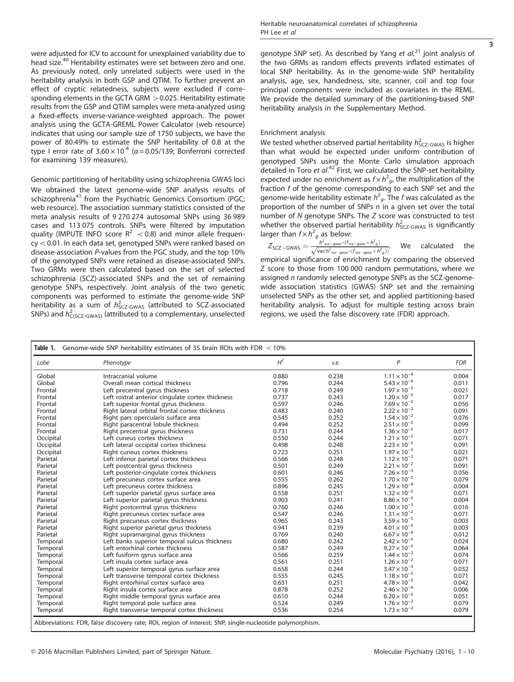<span id="page-2-0"></span>were adjusted for ICV to account for unexplained variability due to head size.[40](#page-8-0) Heritability estimates were set between zero and one. As previously noted, only unrelated subjects were used in the heritability analysis in both GSP and QTIM. To further prevent an effect of cryptic relatedness, subjects were excluded if corresponding elements in the GCTA GRM  $>$  0.025. Heritability estimate results from the GSP and QTIM samples were meta-analyzed using a fixed-effects inverse-variance-weighted approach. The power analysis using the GCTA-GREML Power Calculator (web resource) indicates that using our sample size of 1750 subjects, we have the power of 80.49% to estimate the SNP heritability of 0.8 at the type I error rate of  $3.60 \times 10^{-4}$  ( $\alpha$  = 0.05/139; Bonferroni corrected for examining 139 measures).

Genomic partitioning of heritability using schizophrenia GWAS loci We obtained the latest genome-wide SNP analysis results of schizophrenia<sup>[41](#page-8-0)</sup> from the Psychiatric Genomics Consortium (PGC; web resource). The association summary statistics consisted of the meta analysis results of 9 270 274 autosomal SNPs using 36 989 cases and 113 075 controls. SNPs were filtered by imputation quality (IMPUTE INFO score  $R^2 < 0.8$ ) and minor allele frequen $cy < 0.01$ . In each data set, genotyped SNPs were ranked based on disease-association P-values from the PGC study, and the top 10% of the genotyped SNPs were retained as disease-associated SNPs. Two GRMs were then calculated based on the set of selected schizophrenia (SCZ)-associated SNPs and the set of remaining genotype SNPs, respectively. Joint analysis of the two genetic components was performed to estimate the genome-wide SNP heritability as a sum of  $h_{SCZ-GWAS}^2$  (attributed to SCZ-associated SNPs) and  $h_{\text{C(SCZ-GWAS)}}^2$  (attributed to a complementary, unselected

3

genotype SNP set). As described by Yang et  $al^{21}$  $al^{21}$  $al^{21}$  joint analysis of the two GRMs as random effects prevents inflated estimates of local SNP heritability. As in the genome-wide SNP heritability analysis, age, sex, handedness, site, scanner, coil and top four principal components were included as covariates in the REML. We provide the detailed summary of the partitioning-based SNP heritability analysis in the Supplementary Method.

## Enrichment analysis

We tested whether observed partial heritability  $h_{\text{SCZ-GWAS}}^2$  is higher than what would be expected under uniform contribution of genotyped SNPs using the Monte Carlo simulation approach detailed in Toro et  $al^{42}$  $al^{42}$  $al^{42}$  First, we calculated the SNP-set heritability expected under no enrichment as  $f \times h^2_{\text{g}}$ , the multiplication of the fraction f of the genome corresponding to each SNP set and the genome-wide heritability estimate  $h^2_{\mathcal{G}}$ . The f was calculated as the proportion of the number of SNPs  $n$  in a given set over the total number of N genotype SNPs. The Z score was constructed to test whether the observed partial heritability  $h_{SCZ-GWAS}^2$  is significantly larger than  $f \times h^2$  as below:

 $Z_{SC-GWAS} = \frac{h^2_{SC-gwas} - (f_{SC-gwas} \times h^2 g)}{\sqrt{\text{var}(h^2_{CC-gwas} - (f_{SC-gwas} \times h^2 g))}}$  $\frac{n_{\text{sc2-gwas}} - (t_{\text{sc2-gwas}} \times n_g)}{\sqrt{\text{var}(h_{\text{sc2-gwas}} - (t_{\text{sc2-gwas}} \times h_g))}}$ . We calculated the

empirical significance of enrichment by comparing the observed Z score to those from 100 000 random permutations, where we assigned n randomly selected genotype SNPs as the SCZ-genomewide association statistics (GWAS) SNP set and the remaining unselected SNPs as the other set, and applied partitioning-based heritability analysis. To adjust for multiple testing across brain regions, we used the false discovery rate (FDR) approach.

| Lobe      | Phenotype                                        | $H^2$ | s.e.  | P                     | <b>FDR</b> |
|-----------|--------------------------------------------------|-------|-------|-----------------------|------------|
| Global    | Intracranial volume                              | 0.880 | 0.238 | $1.11 \times 10^{-4}$ | 0.004      |
| Global    | Overall mean cortical thickness                  | 0.796 | 0.244 | $5.43 \times 10^{-4}$ | 0.011      |
| Frontal   | Left precentral gyrus thickness                  | 0.718 | 0.249 | $1.97 \times 10^{-3}$ | 0.021      |
| Frontal   | Left rostral anterior cingulate cortex thickness | 0.737 | 0.243 | $1.20 \times 10^{-3}$ | 0.017      |
| Frontal   | Left superior frontal gyrus thickness            | 0.597 | 0.246 | $7.69 \times 10^{-3}$ | 0.056      |
| Frontal   | Right lateral orbital frontal cortex thickness   | 0.483 | 0.240 | $2.22 \times 10^{-2}$ | 0.091      |
| Frontal   | Right pars opercularis surface area              | 0.545 | 0.252 | $1.54 \times 10^{-2}$ | 0.076      |
| Frontal   | Right paracentral lobule thickness               | 0.494 | 0.252 | $2.51 \times 10^{-2}$ | 0.099      |
| Frontal   | Right precentral gyrus thickness                 | 0.731 | 0.244 | $1.36 \times 10^{-3}$ | 0.017      |
| Occipital | Left cuneus cortex thickness                     | 0.550 | 0.244 | $1.21 \times 10^{-2}$ | 0.071      |
| Occipital | Left lateral occipital cortex thickness          | 0.498 | 0.248 | $2.23 \times 10^{-2}$ | 0.091      |
| Occipital | Right cuneus cortex thickness                    | 0.723 | 0.251 | $1.97 \times 10^{-3}$ | 0.021      |
| Parietal  | Left inferior parietal cortex thickness          | 0.566 | 0.248 | $1.12 \times 10^{-2}$ | 0.071      |
| Parietal  | Left postcentral gyrus thickness                 | 0.501 | 0.249 | $2.21 \times 10^{-2}$ | 0.091      |
| Parietal  | Left posterior-cingulate cortex thickness        | 0.601 | 0.246 | $7.26 \times 10^{-3}$ | 0.056      |
| Parietal  | Left precuneus cortex surface area               | 0.555 | 0.262 | $1.70 \times 10^{-2}$ | 0.079      |
| Parietal  | Left precuneus cortex thickness                  | 0.896 | 0.245 | $1.29 \times 10^{-4}$ | 0.004      |
| Parietal  | Left superior parietal gyrus surface area        | 0.558 | 0.251 | $1.32 \times 10^{-2}$ | 0.071      |
| Parietal  | Left superior parietal gyrus thickness           | 0.903 | 0.241 | $8.86 \times 10^{-5}$ | 0.004      |
| Parietal  | Right postcentral gyrus thickness                | 0.760 | 0.246 | $1.00 \times 10^{-3}$ | 0.016      |
| Parietal  | Right precuneus cortex surface area              | 0.547 | 0.246 | $1.31 \times 10^{-2}$ | 0.071      |
| Parietal  | Right precuneus cortex thickness                 | 0.965 | 0.243 | $3.59 \times 10^{-5}$ | 0.003      |
| Parietal  | Right superior parietal gyrus thickness          | 0.941 | 0.239 | $4.01 \times 10^{-5}$ | 0.003      |
| Parietal  | Right supramarginal gyrus thickness              | 0.769 | 0.240 | $6.67 \times 10^{-4}$ | 0.012      |
| Temporal  | Left banks superior temporal sulcus thickness    | 0.680 | 0.242 | $2.42 \times 10^{-3}$ | 0.024      |
| Temporal  | Left entorhinal cortex thickness                 | 0.587 | 0.249 | $9.27 \times 10^{-3}$ | 0.064      |
| Temporal  | Left fusiform gyrus surface area                 | 0.566 | 0.259 | $1.44 \times 10^{-2}$ | 0.074      |
| Temporal  | Left insula cortex surface area                  | 0.561 | 0.251 | $1.26 \times 10^{-2}$ | 0.071      |
| Temporal  | Left superior temporal gyrus surface area        | 0.658 | 0.244 | $3.47 \times 10^{-3}$ | 0.032      |
| Temporal  | Left transverse temporal cortex thickness        | 0.555 | 0.245 | $1.18 \times 10^{-2}$ | 0.071      |
| Temporal  | Right entorhinal cortex surface area             | 0.651 | 0.251 | $4.78 \times 10^{-3}$ | 0.042      |
| Temporal  | Right insula cortex surface area                 | 0.878 | 0.252 | $2.46 \times 10^{-4}$ | 0.006      |
| Temporal  | Right middle temporal gyrus surface area         | 0.610 | 0.244 | $6.20 \times 10^{-3}$ | 0.051      |
| Temporal  | Right temporal pole surface area                 | 0.524 | 0.249 | $1.76 \times 10^{-2}$ | 0.079      |
| Temporal  | Right transverse temporal cortex thickness       | 0.536 | 0.254 | $1.73 \times 10^{-2}$ | 0.079      |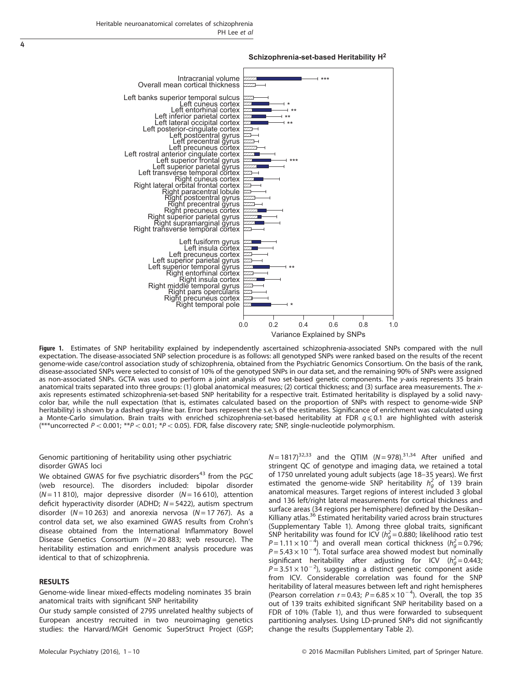<span id="page-3-0"></span>

#### **Schizophrenia-set-based Heritability H<sup>2</sup>**

Figure 1. Estimates of SNP heritability explained by independently ascertained schizophrenia-associated SNPs compared with the null expectation. The disease-associated SNP selection procedure is as follows: all genotyped SNPs were ranked based on the results of the recent genome-wide case/control association study of schizophrenia, obtained from the Psychiatric Genomics Consortium. On the basis of the rank, disease-associated SNPs were selected to consist of 10% of the genotyped SNPs in our data set, and the remaining 90% of SNPs were assigned as non-associated SNPs. GCTA was used to perform a joint analysis of two set-based genetic components. The y-axis represents 35 brain anatomical traits separated into three groups: (1) global anatomical measures; (2) cortical thickness; and (3) surface area measurements. The xaxis represents estimated schizophrenia-set-based SNP heritability for a respective trait. Estimated heritability is displayed by a solid navycolor bar, while the null expectation (that is, estimates calculated based on the proportion of SNPs with respect to genome-wide SNP heritability) is shown by a dashed gray-line bar. Error bars represent the s.e.'s of the estimates. Significance of enrichment was calculated using a Monte-Carlo simulation. Brain traits with enriched schizophrenia-set-based heritability at FDR  $q \le 0.1$  are highlighted with asterisk  $(**uncorrected P < 0.001; **P < 0.01; *P < 0.05)$ . FDR, false discovery rate; SNP, single-nucleotide polymorphism.

## Genomic partitioning of heritability using other psychiatric disorder GWAS loci

We obtained GWAS for five psychiatric disorders<sup>[43](#page-8-0)</sup> from the PGC (web resource). The disorders included: bipolar disorder  $(N = 11 810)$ , major depressive disorder  $(N = 16 610)$ , attention deficit hyperactivity disorder (ADHD;  $N = 5422$ ), autism spectrum disorder ( $N = 10 263$ ) and anorexia nervosa ( $N = 17 767$ ). As a control data set, we also examined GWAS results from Crohn's disease obtained from the International Inflammatory Bowel Disease Genetics Consortium ( $N = 20883$ ; web resource). The heritability estimation and enrichment analysis procedure was identical to that of schizophrenia.

## RESULTS

Genome-wide linear mixed-effects modeling nominates 35 brain anatomical traits with significant SNP heritability

Our study sample consisted of 2795 unrelated healthy subjects of European ancestry recruited in two neuroimaging genetics studies: the Harvard/MGH Genomic SuperStruct Project (GSP;  $N = 1817^{32,33}$  and the QTIM (N = 978).<sup>[31,34](#page-8-0)</sup> After unified and stringent QC of genotype and imaging data, we retained a total of 1750 unrelated young adult subjects (age 18–35 years). We first estimated the genome-wide SNP heritability  $h_g^2$  of 139 brain anatomical measures. Target regions of interest included 3 global and 136 left/right lateral measurements for cortical thickness and surface areas (34 regions per hemisphere) defined by the Desikan– Killiany atlas.<sup>[36](#page-8-0)</sup> Estimated heritability varied across brain structures (Supplementary Table 1). Among three global traits, significant SNP heritability was found for ICV ( $h_g^2$  = 0.880; likelihood ratio test  $P = 1.11 \times 10^{-4}$ ) and overall mean cortical thickness ( $h_g^2 = 0.796$ )  $P = 5.43 \times 10^{-4}$ ). Total surface area showed modest but nominally significant heritability after adjusting for ICV  $(h_g^2 = 0.443)$  $P = 3.51 \times 10^{-2}$ ), suggesting a distinct genetic component aside from ICV. Considerable correlation was found for the SNP heritability of lateral measures between left and right hemispheres (Pearson correlation  $r = 0.43$ ;  $P = 6.85 \times 10^{-4}$ ). Overall, the top 35 out of 139 traits exhibited significant SNP heritability based on a FDR of 10% [\(Table 1\)](#page-2-0), and thus were forwarded to subsequent partitioning analyses. Using LD-pruned SNPs did not significantly change the results (Supplementary Table 2).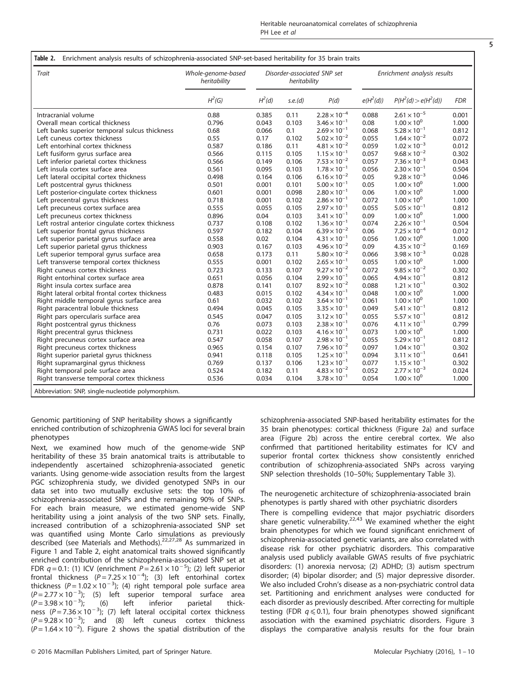| I<br>I<br>۰, |
|--------------|

| Trait                                            | Whole-genome-based<br>heritability | Disorder-associated SNP set<br>heritability |         |                       | Enrichment analysis results |                         |            |
|--------------------------------------------------|------------------------------------|---------------------------------------------|---------|-----------------------|-----------------------------|-------------------------|------------|
|                                                  | $H^2(G)$                           | H <sup>2</sup> (d)                          | s.e.(d) | P(d)                  | $e(H^2(d))$                 | $P(H^2(d)) > e(H^2(d))$ | <b>FDR</b> |
| Intracranial volume                              | 0.88                               | 0.385                                       | 0.11    | $2.28 \times 10^{-4}$ | 0.088                       | $2.61 \times 10^{-5}$   | 0.001      |
| Overall mean cortical thickness                  | 0.796                              | 0.043                                       | 0.103   | $3.46 \times 10^{-1}$ | 0.08                        | $1.00 \times 10^{0}$    | 1.000      |
| Left banks superior temporal sulcus thickness    | 0.68                               | 0.066                                       | 0.1     | $2.69 \times 10^{-1}$ | 0.068                       | $5.28 \times 10^{-1}$   | 0.812      |
| Left cuneus cortex thickness                     | 0.55                               | 0.17                                        | 0.102   | $5.02 \times 10^{-2}$ | 0.055                       | $1.64 \times 10^{-2}$   | 0.072      |
| Left entorhinal cortex thickness                 | 0.587                              | 0.186                                       | 0.11    | $4.81 \times 10^{-2}$ | 0.059                       | $1.02 \times 10^{-3}$   | 0.012      |
| Left fusiform gyrus surface area                 | 0.566                              | 0.115                                       | 0.105   | $1.15 \times 10^{-1}$ | 0.057                       | $9.68 \times 10^{-2}$   | 0.302      |
| Left inferior parietal cortex thickness          | 0.566                              | 0.149                                       | 0.106   | $7.53 \times 10^{-2}$ | 0.057                       | $7.36 \times 10^{-3}$   | 0.043      |
| Left insula cortex surface area                  | 0.561                              | 0.095                                       | 0.103   | $1.78 \times 10^{-1}$ | 0.056                       | $2.30 \times 10^{-1}$   | 0.504      |
| Left lateral occipital cortex thickness          | 0.498                              | 0.164                                       | 0.106   | $6.16 \times 10^{-2}$ | 0.05                        | $9.28 \times 10^{-3}$   | 0.046      |
| Left postcentral gyrus thickness                 | 0.501                              | 0.001                                       | 0.101   | $5.00 \times 10^{-1}$ | 0.05                        | $1.00 \times 10^{0}$    | 1.000      |
| Left posterior-cingulate cortex thickness        | 0.601                              | 0.001                                       | 0.098   | $2.80 \times 10^{-1}$ | 0.06                        | $1.00 \times 10^{0}$    | 1.000      |
| Left precentral gyrus thickness                  | 0.718                              | 0.001                                       | 0.102   | $2.86 \times 10^{-1}$ | 0.072                       | $1.00 \times 10^{0}$    | 1.000      |
| Left precuneus cortex surface area               | 0.555                              | 0.055                                       | 0.105   | $2.97 \times 10^{-1}$ | 0.055                       | $5.05 \times 10^{-1}$   | 0.812      |
| Left precuneus cortex thickness                  | 0.896                              | 0.04                                        | 0.103   | $3.41 \times 10^{-1}$ | 0.09                        | $1.00 \times 10^{0}$    | 1.000      |
| Left rostral anterior cingulate cortex thickness | 0.737                              | 0.108                                       | 0.102   | $1.36 \times 10^{-1}$ | 0.074                       | $2.26 \times 10^{-1}$   | 0.504      |
| Left superior frontal gyrus thickness            | 0.597                              | 0.182                                       | 0.104   | $6.39 \times 10^{-2}$ | 0.06                        | $7.25 \times 10^{-4}$   | 0.012      |
| Left superior parietal gyrus surface area        | 0.558                              | 0.02                                        | 0.104   | $4.31 \times 10^{-1}$ | 0.056                       | $1.00 \times 10^{0}$    | 1.000      |
| Left superior parietal gyrus thickness           | 0.903                              | 0.167                                       | 0.103   | $4.96 \times 10^{-2}$ | 0.09                        | $4.35 \times 10^{-2}$   | 0.169      |
| Left superior temporal gyrus surface area        | 0.658                              | 0.173                                       | 0.11    | $5.80 \times 10^{-2}$ | 0.066                       | $3.98 \times 10^{-3}$   | 0.028      |
| Left transverse temporal cortex thickness        | 0.555                              | 0.001                                       | 0.102   | $2.65 \times 10^{-1}$ | 0.055                       | $1.00 \times 10^{0}$    | 1.000      |
| Right cuneus cortex thickness                    | 0.723                              | 0.133                                       | 0.107   | $9.27 \times 10^{-2}$ | 0.072                       | $9.85 \times 10^{-2}$   | 0.302      |
| Right entorhinal cortex surface area             | 0.651                              | 0.056                                       | 0.104   | $2.99 \times 10^{-1}$ | 0.065                       | $4.94 \times 10^{-1}$   | 0.812      |
| Right insula cortex surface area                 | 0.878                              | 0.141                                       | 0.107   | $8.92 \times 10^{-2}$ | 0.088                       | $1.21 \times 10^{-1}$   | 0.302      |
| Right lateral orbital frontal cortex thickness   | 0.483                              | 0.015                                       | 0.102   | $4.34 \times 10^{-1}$ | 0.048                       | $1.00 \times 10^{0}$    | 1.000      |
| Right middle temporal gyrus surface area         | 0.61                               | 0.032                                       | 0.102   | $3.64 \times 10^{-1}$ | 0.061                       | $1.00 \times 10^{0}$    | 1.000      |
| Right paracentral lobule thickness               | 0.494                              | 0.045                                       | 0.105   | $3.35 \times 10^{-1}$ | 0.049                       | $5.41 \times 10^{-1}$   | 0.812      |
| Right pars opercularis surface area              | 0.545                              | 0.047                                       | 0.105   | $3.12 \times 10^{-1}$ | 0.055                       | $5.57 \times 10^{-1}$   | 0.812      |
| Right postcentral gyrus thickness                | 0.76                               | 0.073                                       | 0.103   | $2.38 \times 10^{-1}$ | 0.076                       | $4.11 \times 10^{-1}$   | 0.799      |
| Right precentral gyrus thickness                 | 0.731                              | 0.022                                       | 0.103   | $4.16 \times 10^{-1}$ | 0.073                       | $1.00 \times 10^{0}$    | 1.000      |
| Right precuneus cortex surface area              | 0.547                              | 0.058                                       | 0.107   | $2.98 \times 10^{-1}$ | 0.055                       | $5.29 \times 10^{-1}$   | 0.812      |
| Right precuneus cortex thickness                 | 0.965                              | 0.154                                       | 0.107   | $7.96 \times 10^{-2}$ | 0.097                       | $1.04 \times 10^{-1}$   | 0.302      |
| Right superior parietal gyrus thickness          | 0.941                              | 0.118                                       | 0.105   | $1.25 \times 10^{-1}$ | 0.094                       | $3.11 \times 10^{-1}$   | 0.641      |
| Right supramarginal gyrus thickness              | 0.769                              | 0.137                                       | 0.106   | $1.23 \times 10^{-1}$ | 0.077                       | $1.15 \times 10^{-1}$   | 0.302      |
| Right temporal pole surface area                 | 0.524                              | 0.182                                       | 0.11    | $4.83 \times 10^{-2}$ | 0.052                       | $2.77 \times 10^{-3}$   | 0.024      |
| Right transverse temporal cortex thickness       | 0.536                              | 0.034                                       | 0.104   | $3.78 \times 10^{-1}$ | 0.054                       | $1.00 \times 10^{0}$    | 1.000      |

Genomic partitioning of SNP heritability shows a significantly enriched contribution of schizophrenia GWAS loci for several brain phenotypes

Next, we examined how much of the genome-wide SNP heritability of these 35 brain anatomical traits is attributable to independently ascertained schizophrenia-associated genetic variants. Using genome-wide association results from the largest PGC schizophrenia study, we divided genotyped SNPs in our data set into two mutually exclusive sets: the top 10% of schizophrenia-associated SNPs and the remaining 90% of SNPs. For each brain measure, we estimated genome-wide SNP heritability using a joint analysis of the two SNP sets. Finally, increased contribution of a schizophrenia-associated SNP set was quantified using Monte Carlo simulations as previously described (see Materials and Methods).[22](#page-8-0),[27,28](#page-8-0) As summarized in [Figure 1](#page-3-0) and Table 2, eight anatomical traits showed significantly enriched contribution of the schizophrenia-associated SNP set at FDR  $q = 0.1$ : (1) ICV (enrichment  $P = 2.61 \times 10^{-5}$ ); (2) left superior frontal thickness  $(P = 7.25 \times 10^{-4})$ ; (3) left entorhinal cortex thickness ( $P = 1.02 \times 10^{-3}$ ); (4) right temporal pole surface area  $(P=2.77\times10^{-3})$ ; (5) left superior temporal surface area  $(P = 3.98 \times 10^{-3})$ ;  $(P=3.98\times10^{-3})$ ; (6) left inferior parietal thick-<br>ness (P = 7.36 × 10<sup>-3</sup>); (7) left lateral occipital cortex thickness  $(P=9.28\times10^{-3})$ ; and (8) left cuneus cortex thickness  $(P=1.64\times10^{-2})$ . [Figure 2](#page-5-0) shows the spatial distribution of the

schizophrenia-associated SNP-based heritability estimates for the 35 brain phenotypes: cortical thickness ([Figure 2a](#page-5-0)) and surface area [\(Figure 2b\)](#page-5-0) across the entire cerebral cortex. We also confirmed that partitioned heritability estimates for ICV and superior frontal cortex thickness show consistently enriched contribution of schizophrenia-associated SNPs across varying SNP selection thresholds (10–50%; Supplementary Table 3).

The neurogenetic architecture of schizophrenia-associated brain phenotypes is partly shared with other psychiatric disorders There is compelling evidence that major psychiatric disorders share genetic vulnerability.<sup>[22,43](#page-8-0)</sup> We examined whether the eight brain phenotypes for which we found significant enrichment of schizophrenia-associated genetic variants, are also correlated with disease risk for other psychiatric disorders. This comparative analysis used publicly available GWAS results of five psychiatric disorders: (1) anorexia nervosa; (2) ADHD; (3) autism spectrum disorder; (4) bipolar disorder; and (5) major depressive disorder. We also included Crohn's disease as a non-psychiatric control data set. Partitioning and enrichment analyses were conducted for each disorder as previously described. After correcting for multiple testing (FDR  $q \le 0.1$ ), four brain phenotypes showed significant association with the examined psychiatric disorders. [Figure 3](#page-6-0) displays the comparative analysis results for the four brain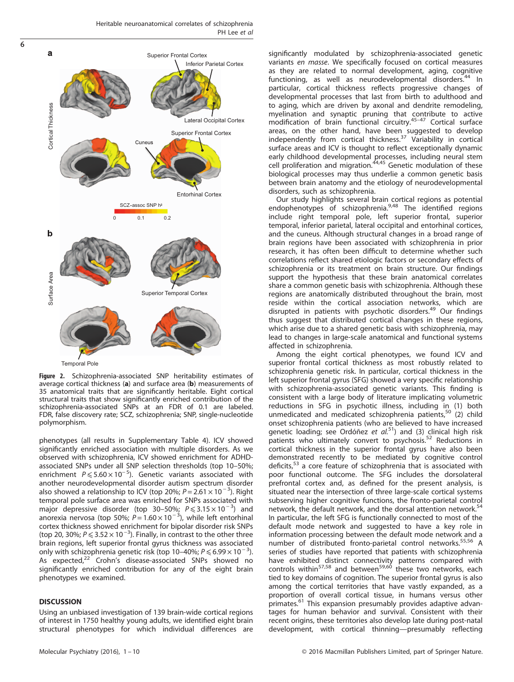

Figure 2. Schizophrenia-associated SNP heritability estimates of average cortical thickness (a) and surface area (b) measurements of 35 anatomical traits that are significantly heritable. Eight cortical structural traits that show significantly enriched contribution of the schizophrenia-associated SNPs at an FDR of 0.1 are labeled. FDR, false discovery rate; SCZ, schizophrenia; SNP, single-nucleotide polymorphism.

phenotypes (all results in Supplementary Table 4). ICV showed significantly enriched association with multiple disorders. As we observed with schizophrenia, ICV showed enrichment for ADHDassociated SNPs under all SNP selection thresholds (top 10–50%; enrichment  $P \le 5.60 \times 10^{-5}$ ). Genetic variants associated with another neurodevelopmental disorder autism spectrum disorder also showed a relationship to ICV (top 20%;  $P = 2.61 \times 10^{-3}$ ). Right temporal pole surface area was enriched for SNPs associated with major depressive disorder (top 30-50%;  $P \le 3.15 \times 10^{-3}$ ) and anorexia nervosa (top 50%;  $P = 1.60 \times 10^{-3}$ ), while left entorhinal cortex thickness showed enrichment for bipolar disorder risk SNPs (top 20, 30%;  $P \le 3.52 \times 10^{-3}$ ). Finally, in contrast to the other three brain regions, left superior frontal gyrus thickness was associated only with schizophrenia genetic risk (top 10–40%;  $P \le 6.99 \times 10^{-3}$ ). As expected,<sup>22</sup> Crohn's disease-associated SNPs showed no significantly enriched contribution for any of the eight brain phenotypes we examined.

## **DISCUSSION**

<span id="page-5-0"></span> $\overline{6}$ 

Using an unbiased investigation of 139 brain-wide cortical regions of interest in 1750 healthy young adults, we identified eight brain structural phenotypes for which individual differences are significantly modulated by schizophrenia-associated genetic variants en masse. We specifically focused on cortical measures as they are related to normal development, aging, cognitive functioning, as well as neurodevelopmental disorders.<sup>[44](#page-8-0)</sup> In particular, cortical thickness reflects progressive changes of developmental processes that last from birth to adulthood and to aging, which are driven by axonal and dendrite remodeling, myelination and synaptic pruning that [cont](#page-8-0)ribute to active<br>modification of brain functional circuitry.<sup>45–47</sup> Cortical surface areas, on the other hand, have been suggested to develop<br>independently from cortical thickness.<sup>[37](#page-8-0)</sup> Variability in cortical surface areas and ICV is thought to reflect exceptionally dynamic early childhood developmental processes, including neural stem<br>cell proliferation and migration.<sup>[44,45](#page-8-0)</sup> Genetic modulation of these biological processes may thus underlie a common genetic basis between brain anatomy and the etiology of neurodevelopmental disorders, such as schizophrenia.

Our study highlights several brain cortical regions as potential endophenotypes of schizophrenia.[9](#page-7-0),[48](#page-8-0) The identified regions include right temporal pole, left superior frontal, superior temporal, inferior parietal, lateral occipital and entorhinal cortices, and the cuneus. Although structural changes in a broad range of brain regions have been associated with schizophrenia in prior research, it has often been difficult to determine whether such correlations reflect shared etiologic factors or secondary effects of schizophrenia or its treatment on brain structure. Our findings support the hypothesis that these brain anatomical correlates share a common genetic basis with schizophrenia. Although these regions are anatomically distributed throughout the brain, most reside within the cortical association networks, which are disrupted in patients with psychotic disorders.<sup>[49](#page-8-0)</sup> Our findings thus suggest that distributed cortical changes in these regions, which arise due to a shared genetic basis with schizophrenia, may lead to changes in large-scale anatomical and functional systems affected in schizophrenia.

Among the eight cortical phenotypes, we found ICV and superior frontal cortical thickness as most robustly related to schizophrenia genetic risk. In particular, cortical thickness in the left superior frontal gyrus (SFG) showed a very specific relationship with schizophrenia-associated genetic variants. This finding is consistent with a large body of literature implicating volumetric reductions in SFG in psychotic illness, including in (1) both unmedicated and medicated schizophrenia patients,<sup>[50](#page-8-0)</sup> (2) child onset schizophrenia patients (who are believed to have increased genetic loading; see Ordóñez et  $al^{51}$ ) and (3) clinical high risk patients who ultimately convert to psychosis.<sup>[52](#page-8-0)</sup> Reductions in cortical thickness in the superior frontal gyrus have also been demonstrated recently to be mediated by cognitive control deficits,<sup>[53](#page-8-0)</sup> a core feature of schizophrenia that is associated with poor functional outcome. The SFG includes the dorsolateral prefrontal cortex and, as defined for the present analysis, is situated near the intersection of three large-scale cortical systems subserving higher cognitive functions, the fronto-parietal control network, the default network, and the dorsal attention network.<sup>[54](#page-8-0)</sup> In particular, the left SFG is functionally connected to most of the default mode network and suggested to have a key role in information processing between the default mode network and a number of distributed fronto-parietal control networks.[55](#page-8-0),[56](#page-8-0) A series of studies have reported that patients with schizophrenia have exhibited distinct connectivity patterns compared with controls within<sup>[57,58](#page-8-0)</sup> and between<sup>[59](#page-8-0),[60](#page-9-0)</sup> these two networks, each tied to key domains of cognition. The superior frontal gyrus is also among the cortical territories that have vastly expanded, as a proportion of overall cortical tissue, in humans versus other primates.<sup>[61](#page-9-0)</sup> This expansion presumably provides adaptive advantages for human behavior and survival. Consistent with their recent origins, these territories also develop late during post-natal development, with cortical thinning—presumably reflecting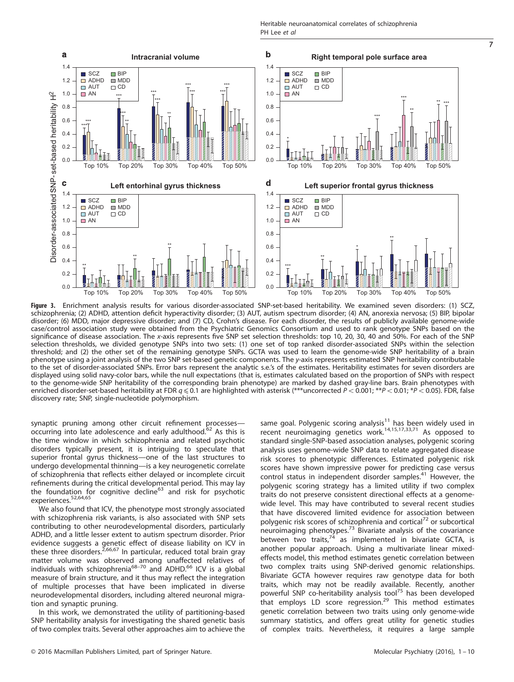<span id="page-6-0"></span>

7

Figure 3. Enrichment analysis results for various disorder-associated SNP-set-based heritability. We examined seven disorders: (1) SCZ, schizophrenia; (2) ADHD, attention deficit hyperactivity disorder; (3) AUT, autism spectrum disorder; (4) AN, anorexia nervosa; (5) BIP, bipolar disorder; (6) MDD, major depressive disorder; and (7) CD, Crohn's disease. For each disorder, the results of publicly available genome-wide case/control association study were obtained from the Psychiatric Genomics Consortium and used to rank genotype SNPs based on the significance of disease association. The x-axis represents five SNP set selection thresholds: top 10, 20, 30, 40 and 50%. For each of the SNP selection thresholds, we divided genotype SNPs into two sets: (1) one set of top ranked disorder-associated SNPs within the selection threshold; and (2) the other set of the remaining genotype SNPs. GCTA was used to learn the genome-wide SNP heritability of a brain phenotype using a joint analysis of the two SNP set-based genetic components. The y-axis represents estimated SNP heritability contributable to the set of disorder-associated SNPs. Error bars represent the analytic s.e.'s of the estimates. Heritability estimates for seven disorders are displayed using solid navy-color bars, while the null expectations (that is, estimates calculated based on the proportion of SNPs with respect to the genome-wide SNP heritability of the corresponding brain phenotype) are marked by dashed gray-line bars. Brain phenotypes with enriched disorder-set-based heritability at FDR  $q \le 0.1$  are highlighted with asterisk (\*\*\*uncorrected  $P < 0.001$ ; \*\*P $< 0.01$ ; \*P $< 0.05$ ). FDR, false discovery rate; SNP, single-nucleotide polymorphism.

synaptic pruning among other circuit refinement processes— occurring into late adolescence and early adulthood.<sup>[62](#page-9-0)</sup> As this is the time window in which schizophrenia and related psychotic disorders typically present, it is intriguing to speculate that superior frontal gyrus thickness—one of the last structures to undergo developmental thinning—is a key neurogenetic correlate of schizophrenia that reflects either delayed or incomplete circuit refinements during the critical developmental period. This may lay the foundation for cognitive decline<sup>[63](#page-9-0)</sup> and risk for psychotic experiences.<sup>[52](#page-8-0)[,64](#page-9-0),[65](#page-9-0)</sup>

We also found that ICV, the phenotype most strongly associated with schizophrenia risk variants, is also associated with SNP sets contributing to other neurodevelopmental disorders, particularly ADHD, and a little lesser extent to autism spectrum disorder. Prior evidence suggests a genetic effect of disease liability on ICV in<br>these three disorders.<sup>[2,](#page-7-0)[66,67](#page-9-0)</sup> In particular, reduced total brain gray matter volume was observe[d am](#page-9-0)ong unaffected relatives of<br>individuals with schizophrenia<sup>68–70</sup> and ADHD.<sup>66</sup> ICV is a global measure of brain structure, and it thus may reflect the integration of multiple processes that have been implicated in diverse neurodevelopmental disorders, including altered neuronal migration and synaptic pruning.

In this work, we demonstrated the utility of partitioning-based SNP heritability analysis for investigating the shared genetic basis of two complex traits. Several other approaches aim to achieve the same goal. Polygenic scoring analysis<sup>[11](#page-8-0)</sup> has been widely used in recent neuroimaging genetics work.[14](#page-8-0),[15](#page-8-0),[17,33,](#page-8-0)[71](#page-9-0) As opposed to standard single-SNP-based association analyses, polygenic scoring analysis uses genome-wide SNP data to relate aggregated disease risk scores to phenotypic differences. Estimated polygenic risk scores have shown impressive power for predicting case versus control status in independent disorder samples.[41](#page-8-0) However, the polygenic scoring strategy has a limited utility if two complex traits do not preserve consistent directional effects at a genomewide level. This may have contributed to several recent studies that have discovered limited evidence for association between polygenic risk scores of schizophrenia and cortical<sup>[72](#page-9-0)</sup> or subcortical neuroimaging phenotypes.[73](#page-9-0) Bivariate analysis of the covariance between two traits, $74$  as implemented in bivariate GCTA, is another popular approach. Using a multivariate linear mixedeffects model, this method estimates genetic correlation between two complex traits using SNP-derived genomic relationships. Bivariate GCTA however requires raw genotype data for both traits, which may not be readily available. Recently, another powerful SNP co-heritability analysis tool<sup>[75](#page-9-0)</sup> has been developed that employs LD score regression. $29$  This method estimates genetic correlation between two traits using only genome-wide summary statistics, and offers great utility for genetic studies of complex traits. Nevertheless, it requires a large sample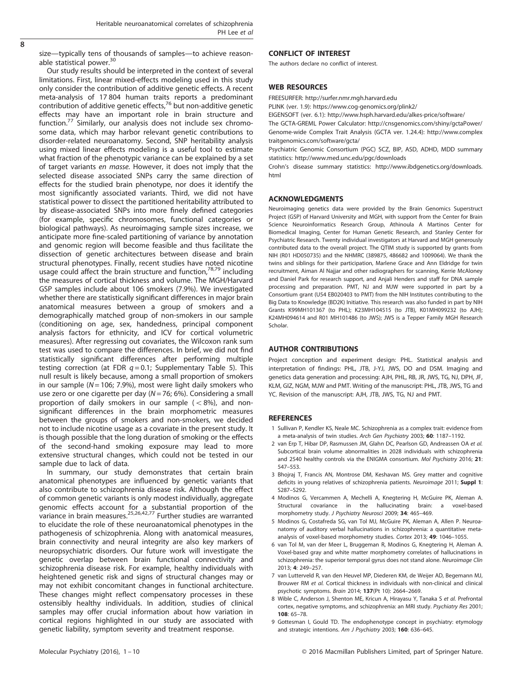<span id="page-7-0"></span>size—typically tens of thousands of samples—to achieve reason-able statistical power.<sup>[30](#page-8-0)</sup>

Our study results should be interpreted in the context of several limitations. First, linear mixed-effects modeling used in this study only consider the contribution of additive genetic effects. A recent meta-analysis of 17 804 human traits reports a predominant contribution of additive genetic effects, $^{76}$  $^{76}$  $^{76}$  but non-additive genetic effects may have an important role in brain structure and function.[77](#page-9-0) Similarly, our analysis does not include sex chromosome data, which may harbor relevant genetic contributions to disorder-related neuroanatomy. Second, SNP heritability analysis using mixed linear effects modeling is a useful tool to estimate what fraction of the phenotypic variance can be explained by a set of target variants en masse. However, it does not imply that the selected disease associated SNPs carry the same direction of effects for the studied brain phenotype, nor does it identify the most significantly associated variants. Third, we did not have statistical power to dissect the partitioned heritability attributed to by disease-associated SNPs into more finely defined categories (for example, specific chromosomes, functional categories or biological pathways). As neuroimaging sample sizes increase, we anticipate more fine-scaled partitioning of variance by annotation and genomic region will become feasible and thus facilitate the dissection of genetic architectures between disease and brain structural phenotypes. Finally, recent studies have noted nicotine usage could affect the brain structure and function,<sup>[78,79](#page-9-0)</sup> including the measures of cortical thickness and volume. The MGH/Harvard GSP samples include about 106 smokers (7.9%). We investigated whether there are statistically significant differences in major brain anatomical measures between a group of smokers and a demographically matched group of non-smokers in our sample (conditioning on age, sex, handedness, principal component analysis factors for ethnicity, and ICV for cortical volumetric measures). After regressing out covariates, the Wilcoxon rank sum test was used to compare the differences. In brief, we did not find statistically significant differences after performing multiple testing correction (at FDR  $q = 0.1$ ; Supplementary Table 5). This null result is likely because, among a small proportion of smokers in our sample ( $N = 106$ ; 7.9%), most were light daily smokers who use zero or one cigarette per day ( $N = 76$ ; 6%). Considering a small proportion of daily smokers in our sample  $(< 8\%)$ , and nonsignificant differences in the brain morphometric measures between the groups of smokers and non-smokers, we decided not to include nicotine usage as a covariate in the present study. It is though possible that the long duration of smoking or the effects of the second-hand smoking exposure may lead to more extensive structural changes, which could not be tested in our sample due to lack of data.

In summary, our study demonstrates that certain brain anatomical phenotypes are influenced by genetic variants that also contribute to schizophrenia disease risk. Although the effect of common genetic variants is only modest individually, aggregate genomic effects account for a substantial proportion of the variance in brain measures.<sup>[25,26,42](#page-8-0),[77](#page-9-0)</sup> Further studies are warranted to elucidate the role of these neuroanatomical phenotypes in the pathogenesis of schizophrenia. Along with anatomical measures, brain connectivity and neural integrity are also key markers of neuropsychiatric disorders. Our future work will investigate the genetic overlap between brain functional connectivity and schizophrenia disease risk. For example, healthy individuals with heightened genetic risk and signs of structural changes may or may not exhibit concomitant changes in functional architecture. These changes might reflect compensatory processes in these ostensibly healthy individuals. In addition, studies of clinical samples may offer crucial information about how variation in cortical regions highlighted in our study are associated with genetic liability, symptom severity and treatment response.

#### CONFLICT OF INTEREST

The authors declare no conflict of interest.

## WEB RESOURCES

FREESURFER:<http://surfer.nmr.mgh.harvard.edu>

PLINK (ver. 1.9):<https://www.cog-genomics.org/plink2/>

EIGENSOFT (ver. 6.1):<http://www.hsph.harvard.edu/alkes-price/software/>

The GCTA-GREML Power Calculator:<http://cnsgenomics.com/shiny/gctaPower/> Genome-wide Complex Trait Analysis (GCTA ver. 1.24.4): [http://www.complex](http://www.complextraitgenomics.com/software/gcta/) [traitgenomics.com/software/gcta/](http://www.complextraitgenomics.com/software/gcta/)

Psychiatric Genomic Consortium (PGC) SCZ, BIP, ASD, ADHD, MDD summary statistics:<http://www.med.unc.edu/pgc/downloads>

Crohn's disease summary statistics: [http://www.ibdgenetics.org/downloads.](http://www.ibdgenetics.org/downloads.html) [html](http://www.ibdgenetics.org/downloads.html)

## ACKNOWLEDGMENTS

Neuroimaging genetics data were provided by the Brain Genomics Superstruct Project (GSP) of Harvard University and MGH, with support from the Center for Brain Science Neuroinformatics Research Group, Athinoula A Martinos Center for Biomedical Imaging, Center for Human Genetic Research, and Stanley Center for Psychiatric Research. Twenty individual investigators at Harvard and MGH generously contributed data to the overall project. The QTIM study is supported by grants from NIH (R01 HD050735) and the NHMRC (389875, 486682 and 1009064). We thank the twins and siblings for their participation, Marlene Grace and Ann Eldridge for twin recruitment, Aiman Al Najjar and other radiographers for scanning, Kerrie McAloney and Daniel Park for research support, and Anjali Henders and staff for DNA sample processing and preparation. PMT, NJ and MJW were supported in part by a Consortium grant (U54 EB020403 to PMT) from the NIH Institutes contributing to the Big Data to Knowledge (BD2K) Initiative. This research was also funded in part by NIH Grants K99MH101367 (to PHL); K23MH104515 (to JTB), K01MH099232 (to AJH); K24MH094614 and R01 MH101486 (to JWS); JWS is a Tepper Family MGH Research Scholar.

#### AUTHOR CONTRIBUTIONS

Project conception and experiment design: PHL. Statistical analysis and interpretation of findings: PHL, JTB, J-YJ, JWS, DO and DSM. Imaging and genetics data generation and processing: AJH, PHL, RB, JR, JWS, TG, NJ, DPH, JF, KLM, GIZ, NGM, MJW and PMT. Writing of the manuscript: PHL, JTB, JWS, TG and YC. Revision of the manuscript: AJH, JTB, JWS, TG, NJ and PMT.

#### REFERENCES

- 1 Sullivan P, Kendler KS, Neale MC. Schizophrenia as a complex trait: evidence from a meta-analysis of twin studies. Arch Gen Psychiatry 2003; 60: 1187–1192.
- 2 van Erp T, Hibar DP, Rasmussen JM, Glahn DC, Pearlson GD, Andreassen OA et al. Subcortical brain volume abnormalities in 2028 individuals with schizophrenia and 2540 healthy controls via the ENIGMA consortium. Mol Psychiatry 2016; 21: 547–553.
- 3 Bhojraj T, Francis AN, Montrose DM, Keshavan MS. Grey matter and cognitive deficits in young relatives of schizophrenia patients. Neuroimage 2011; Suppl 1: S287–S292.
- 4 Modinos G, Vercammen A, Mechelli A, Knegtering H, McGuire PK, Aleman A. Structural covariance in the hallucinating brain: a voxel-based morphometry study. J Psychiatry Neurosci 2009; 34: 465–469.
- 5 Modinos G, Costafreda SG, van Tol MJ, McGuire PK, Aleman A, Allen P. Neuroanatomy of auditory verbal hallucinations in schizophrenia: a quantitative metaanalysis of voxel-based morphometry studies. Cortex 2013; 49: 1046–1055.
- 6 van Tol M, van der Meer L, Bruggeman R, Modinos G, Knegtering H, Aleman A. Voxel-based gray and white matter morphometry correlates of hallucinations in schizophrenia: the superior temporal gyrus does not stand alone. Neuroimage Clin 2013; 4: 249–257.
- 7 van Lutterveld R, van den Heuvel MP, Diederen KM, de Weijer AD, Begemann MJ, Brouwer RM et al. Cortical thickness in individuals with non-clinical and clinical psychotic symptoms. Brain 2014; 137(Pt 10): 2664–2669.
- 8 Wible C, Anderson J, Shenton ME, Kricun A, Hirayasu Y, Tanaka S et al. Prefrontal cortex, negative symptoms, and schizophrenia: an MRI study. Psychiatry Res 2001; 108: 65–78.
- 9 Gottesman I, Gould TD. The endophenotype concept in psychiatry: etymology and strategic intentions. Am J Psychiatry 2003; 160: 636-645.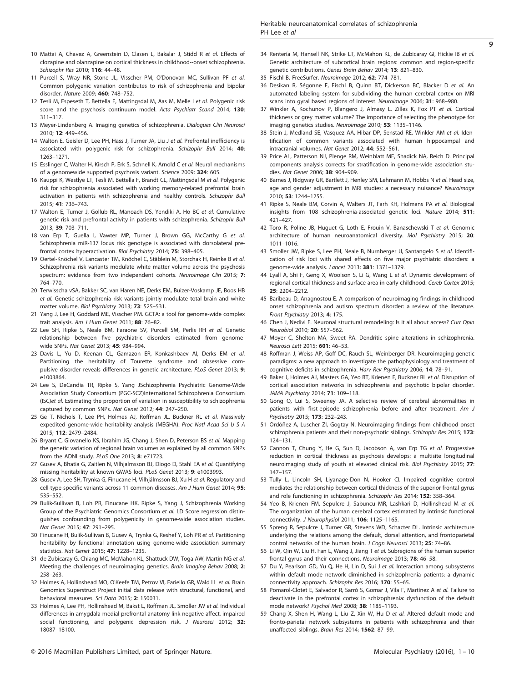- <span id="page-8-0"></span>10 Mattai A, Chavez A, Greenstein D, Clasen L, Bakalar J, Stidd R et al. Effects of clozapine and olanzapine on cortical thickness in childhood-‐onset schizophrenia. Schizophr Res 2010; 116: 44–48.
- 11 Purcell S, Wray NR, Stone JL, Visscher PM, O'Donovan MC, Sullivan PF et al. Common polygenic variation contributes to risk of schizophrenia and bipolar disorder. Nature 2009; 460: 748–752.
- 12 Tesli M, Espeseth T, Bettella F, Mattingsdal M, Aas M, Melle I et al. Polygenic risk score and the psychosis continuum model. Acta Psychiatr Scand 2014; 130: 311–317.
- 13 Meyer-Lindenberg A. Imaging genetics of schizophrenia. Dialogues Clin Neurosci 2010; 12: 449–456.
- 14 Walton E, Geisler D, Lee PH, Hass J, Turner JA, Liu J et al. Prefrontal inefficiency is associated with polygenic risk for schizophrenia. Schizophr Bull 2014; 40: 1263–1271.
- 15 Esslinger C, Walter H, Kirsch P, Erk S, Schnell K, Arnold C et al. Neural mechanisms of a genomewide supported psychosis variant. Science 2009; 324: 605.
- 16 Kauppi K, Westlye LT, Tesli M, Bettella F, Brandt CL, Mattingsdal M et al. Polygenic risk for schizophrenia associated with working memory-related prefrontal brain activation in patients with schizophrenia and healthy controls. Schizophr Bull 2015; 41: 736–743.
- 17 Walton E, Turner J, Gollub RL, Manoach DS, Yendiki A, Ho BC et al. Cumulative genetic risk and prefrontal activity in patients with schizophrenia. Schizophr Bull 2013; 39: 703–711.
- 18 van Erp T, Guella I, Vawter MP, Turner J, Brown GG, McCarthy G et al. Schizophrenia miR-137 locus risk genotype is associated with dorsolateral prefrontal cortex hyperactivation. Biol Psychiatry 2014; 75: 398–405.
- 19 Oertel-Knöchel V, Lancaster TM, Knöchel C, Stäblein M, Storchak H, Reinke B et al. Schizophrenia risk variants modulate white matter volume across the psychosis spectrum: evidence from two independent cohorts. Neuroimage Clin 2015; 7: 764–770.
- 20 Terwisscha vSA, Bakker SC, van Haren NE, Derks EM, Buizer-Voskamp JE, Boos HB et al. Genetic schizophrenia risk variants jointly modulate total brain and white matter volume. Biol Psychiatry 2013; 73: 525–531.
- 21 Yang J, Lee H, Goddard ME, Visscher PM. GCTA: a tool for genome-wide complex trait analysis. Am J Hum Genet 2011; 88: 76–82.
- 22 Lee SH, Ripke S, Neale BM, Faraone SV, Purcell SM, Perlis RH et al. Genetic relationship between five psychiatric disorders estimated from genomewide SNPs. Nat Genet 2013; 45: 984–994.
- 23 Davis L, Yu D, Keenan CL, Gamazon ER, Konkashbaev AI, Derks EM et al. Partitioning the heritability of Tourette syndrome and obsessive compulsive disorder reveals differences in genetic architecture. PLoS Genet 2013; 9: e1003864.
- 24 Lee S, DeCandia TR, Ripke S, Yang JSchizophrenia Psychiatric Genome-Wide Association Study Consortium (PGC-SCZ)International Schizophrenia Consortium (ISC)et al. Estimating the proportion of variation in susceptibility to schizophrenia captured by common SNPs. Nat Genet 2012; 44: 247–250.
- 25 Ge T, Nichols T, Lee PH, Holmes AJ, Roffman JL, Buckner RL et al. Massively expedited genome-wide heritability analysis (MEGHA). Proc Natl Acad Sci U S A 2015; 112: 2479–2484.
- 26 Bryant C, Giovanello KS, Ibrahim JG, Chang J, Shen D, Peterson BS et al. Mapping the genetic variation of regional brain volumes as explained by all common SNPs from the ADNI study. PLoS One 2013; 8: e71723.
- 27 Gusev A, Bhatia G, Zaitlen N, Vilhjalmsson BJ, Diogo D, Stahl EA et al. Quantifying missing heritability at known GWAS loci. PLoS Genet 2013; 9: e1003993.
- 28 Gusev A, Lee SH, Trynka G, Finucane H, Vilhjálmsson BJ, Xu H et al. Regulatory and cell-type-specific variants across 11 common diseases. Am J Hum Genet 2014; 95: 535–552.
- 29 Bulik-Sullivan B, Loh PR, Finucane HK, Ripke S, Yang J, Schizophrenia Working Group of the Psychiatric Genomics Consortium et al. LD Score regression distinguishes confounding from polygenicity in genome-wide association studies. Nat Genet 2015; 47: 291–295.
- 30 Finucane H, Bulik-Sullivan B, Gusev A, Trynka G, Reshef Y, Loh PR et al. Partitioning heritability by functional annotation using genome-wide association summary statistics. Nat Genet 2015; 47: 1228–1235.
- 31 de Zubicaray G, Chiang MC, McMahon KL, Shattuck DW, Toga AW, Martin NG et al. Meeting the challenges of neuroimaging genetics. Brain Imaging Behav 2008; 2: 258–263.
- 32 Holmes A, Hollinshead MO, O'Keefe TM, Petrov VI, Fariello GR, Wald LL et al. Brain Genomics Superstruct Project initial data release with structural, functional, and behavioral measures. Sci Data 2015; 2: 150031.
- 33 Holmes A, Lee PH, Hollinshead M, Bakst L, Roffman JL, Smoller JW et al. Individual differences in amygdala-medial prefrontal anatomy link negative affect, impaired social functioning, and polygenic depression risk. J Neurosci 2012; 32: 18087–18100.
- 34 Rentería M, Hansell NK, Strike LT, McMahon KL, de Zubicaray GI, Hickie IB et al. Genetic architecture of subcortical brain regions: common and region-specific genetic contributions. Genes Brain Behav 2014; 13: 821–830.
- 35 Fischl B. FreeSurfer. Neuroimage 2012; 62: 774–781.
- 36 Desikan R, Ségonne F, Fischl B, Quinn BT, Dickerson BC, Blacker D et al. An automated labeling system for subdividing the human cerebral cortex on MRI scans into gyral based regions of interest. Neuroimage 2006; 31: 968–980.
- 37 Winkler A, Kochunov P, Blangero J, Almasy L, Zilles K, Fox PT et al. Cortical thickness or grey matter volume? The importance of selecting the phenotype for imaging genetics studies. Neuroimage 2010; 53: 1135–1146.
- 38 Stein J, Medland SE, Vasquez AA, Hibar DP, Senstad RE, Winkler AM et al. Identification of common variants associated with human hippocampal and intracranial volumes. Nat Genet 2012; 44: 552–561.
- 39 Price AL, Patterson NJ, Plenge RM, Weinblatt ME, Shadick NA, Reich D. Principal components analysis corrects for stratification in genome-wide association studies. Nat Genet 2006; 38: 904–909.
- 40 Barnes J, Ridgway GR, Bartlett J, Henley SM, Lehmann M, Hobbs N et al. Head size. age and gender adjustment in MRI studies: a necessary nuisance? Neuroimage 2010; 53: 1244–1255.
- 41 Ripke S, Neale BM, Corvin A, Walters JT, Farh KH, Holmans PA et al. Biological insights from 108 schizophrenia-associated genetic loci. Nature 2014; 511: 421–427.
- 42 Toro R, Poline JB, Huguet G, Loth E, Frouin V, Banaschewski T et al. Genomic architecture of human neuroanatomical diversity. Mol Psychiatry 2015; 20: 1011–1016.
- 43 Smoller JW, Ripke S, Lee PH, Neale B, Nurnberger JI, Santangelo S et al. Identification of risk loci with shared effects on five major psychiatric disorders: a genome-wide analysis. Lancet 2013; 381: 1371–1379.
- 44 Lyall A, Shi F, Geng X, Woolson S, Li G, Wang L et al. Dynamic development of regional cortical thickness and surface area in early childhood. Cereb Cortex 2015; 25: 2204–2212.
- 45 Baribeau D, Anagnostou E. A comparison of neuroimaging findings in childhood onset schizophrenia and autism spectrum disorder: a review of the literature. Front Psychiatry 2013; 4: 175.
- 46 Chen J, Nedivi E. Neuronal structural remodeling: Is it all about access? Curr Opin Neurobiol 2010; 20: 557–562.
- 47 Moyer C, Shelton MA, Sweet RA. Dendritic spine alterations in schizophrenia. Neurosci Lett 2015; 601: 46–53.
- 48 Roffman J, Weiss AP, Goff DC, Rauch SL, Weinberger DR. Neuroimaging-genetic paradigms: a new approach to investigate the pathophysiology and treatment of cognitive deficits in schizophrenia. Harv Rev Psychiatry 2006; 14: 78–91.
- 49 Baker J, Holmes AJ, Masters GA, Yeo BT, Krienen F, Buckner RL et al. Disruption of cortical association networks in schizophrenia and psychotic bipolar disorder. JAMA Psychiatry 2014; 71: 109–118.
- 50 Gong Q, Lui S, Sweeney JA. A selective review of cerebral abnormalities in patients with first-episode schizophrenia before and after treatment. Am J Psychiatry 2015; 173: 232–243.
- 51 Ordóñez A, Luscher ZI, Gogtay N. Neuroimaging findings from childhood onset schizophrenia patients and their non-psychotic siblings. Schizophr Res 2015; 173: 124–131.
- 52 Cannon T, Chung Y, He G, Sun D, Jacobson A, van Erp TG et al. Progressive reduction in cortical thickness as psychosis develops: a multisite longitudinal neuroimaging study of youth at elevated clinical risk. Biol Psychiatry 2015; 77: 147–157.
- 53 Tully L, Lincoln SH, Liyanage-Don N, Hooker CI. Impaired cognitive control mediates the relationship between cortical thickness of the superior frontal gyrus and role functioning in schizophrenia. Schizophr Res 2014; 152: 358–364.
- 54 Yeo B, Krienen FM, Sepulcre J, Sabuncu MR, Lashkari D, Hollinshead M et al. The organization of the human cerebral cortex estimated by intrinsic functional connectivity. J Neurophysiol 2011; 106: 1125–1165.
- 55 Spreng R, Sepulcre J, Turner GR, Stevens WD, Schacter DL. Intrinsic architecture underlying the relations among the default, dorsal attention, and frontoparietal control networks of the human brain. J Cogn Neurosci 2013; 25: 74-86.
- 56 Li W, Qin W, Liu H, Fan L, Wang J, Jiang T et al. Subregions of the human superior frontal gyrus and their connections. Neuroimage 2013; 78: 46–58.
- 57 Du Y, Pearlson GD, Yu Q, He H, Lin D, Sui J et al. Interaction among subsystems within default mode network diminished in schizophrenia patients: a dynamic connectivity approach. Schizophr Res 2016; 170: 55–65.
- 58 Pomarol-Clotet E, Salvador R, Sarró S, Gomar J, Vila F, Martínez A et al. Failure to deactivate in the prefrontal cortex in schizophrenia: dysfunction of the default mode network? Psychol Med 2008; 38: 1185–1193.
- 59 Chang X, Shen H, Wang L, Liu Z, Xin W, Hu D et al. Altered default mode and fronto-parietal network subsystems in patients with schizophrenia and their unaffected siblings. Brain Res 2014; 1562: 87–99.